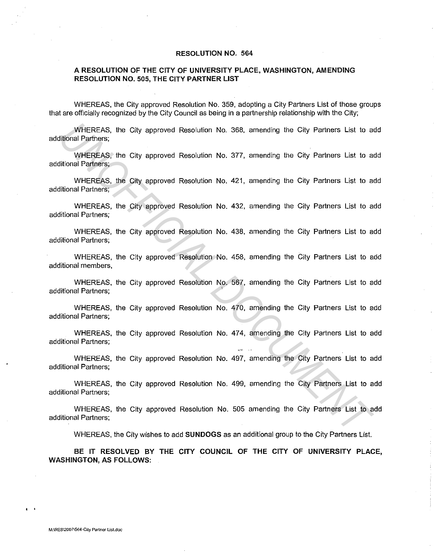## **RESOLUTION NO. 564**

## **A RESOLUTION OF THE CITY OF UNIVERSITY PLACE, WASHINGTON, AMENDING RESOLUTION NO. 505, THE CITY PARTNER LIST**

WHEREAS, the City approved Resolution No. 359, adopting a City Partners List of those groups that are officially recognized by the City Council as being in a partnership relationship with the City;

WHEREAS, the City approved Resolution No. 368, amending the City Partners List to add additional Partners;

WHEREAS, the City approved Resolution No. 377, amending the City Partners List to add additional Partners; WHEREAS, the City approved Resolution No. 368, amending the City Partners List to a<br> *UNISEREAS*, the City approved Resolution No. 377, amending the City Partners List to a<br> *UNISEREAS*, the City approved Resolution No. 43

WHEREAS, the City approved Resolution No. 421, amending the City Partners List to add additional Partners;

WHEREAS, the City approved Resolution No. 432, amending the City Partners List to add additional Partners;

WHEREAS, the City approved Resolution No. 438, amending the City Partners List to add additional Partners;

WHEREAS, the City approved Resolution No. 458, amending the City Partners List to add additional members,

WHEREAS, the City approved Resolution No. 567, amending the City Partners List to add additional Partners;

WHEREAS, the City approved Resolution No. 470, amending the City Partners List to add additional Partners;

WHEREAS, the City approved Resolution No. 474, amending the City Partners List to add additional Partners;

WHEREAS, the City approved Resolution No. 497, amending the City Partners List to add additional Partners;

WHEREAS, the City approved Resolution No. 499, amending the City Partners List to add additional Partners;

WHEREAS, the City approved Resolution No. 505 amending the City Partners List to add additional Partners;

WHEREAS, the City wishes to add **SUNDOGS** as an additional group to the City Partners List.

**BE IT RESOLVED BY THE CITY COUNCIL OF THE CITY OF UNIVERSITY PLACE, WASHINGTON, AS FOLLOWS:** 

 $\cdot$  '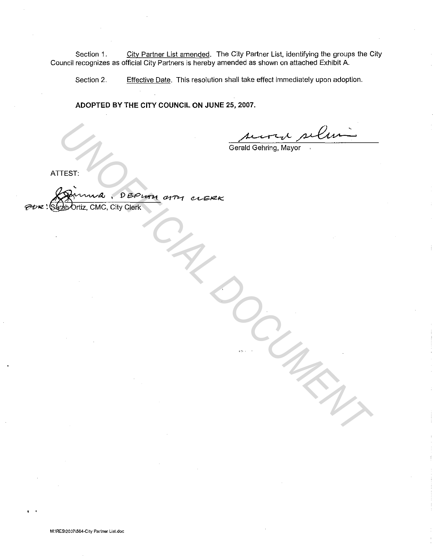Section 1. City Partner List amended. The City Partner List, identifying the groups the City Council recognizes as official City Partners is hereby amended as shown on attached Exhibit A.

Section 2. Effective Date. This resolution shall take effect immediately upon adoption.

**ADOPTED BY THE CITY COUNCIL ON JUNE 25, 2007.** 

*DOCUMENT*

Gerald Gehring, Mayor

ATTEST:

TEST:<br>
Comma, Députy arm elere<br>
Captoriz, CMC, City Clerk<br>
Captoriz, CMC, City Clerk  $a$ , DEPUTH aTH CLERK P Ortiz, CMC, City Clerk

. .